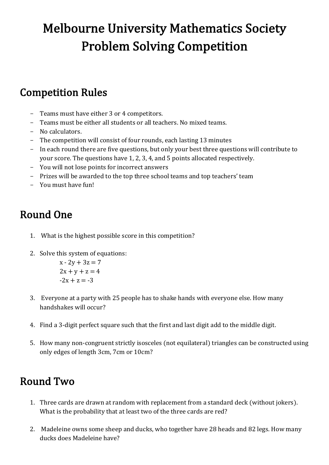# **Melbourne University Mathematics Society Problem Solving Competition**

### **Competition Rules**

- Teams must have either 3 or 4 competitors.
- Teams must be either all students or all teachers. No mixed teams.
- No calculators.
- The competition will consist of four rounds, each lasting 13 minutes
- In each round there are five questions, but only your best three questions will contribute to your score. The questions have 1, 2, 3, 4, and 5 points allocated respectively.
- You will not lose points for incorrect answers
- Prizes will be awarded to the top three school teams and top teachers' team
- You must have fun!

## Round One

- 1. What is the highest possible score in this competition?
- 2. Solve this system of equations:

$$
x - 2y + 3z = 7
$$
  

$$
2x + y + z = 4
$$
  

$$
-2x + z = -3
$$

- 3. Everyone at a party with 25 people has to shake hands with everyone else. How many handshakes will occur?
- 4. Find a 3-digit perfect square such that the first and last digit add to the middle digit.
- 5. How many non-congruent strictly isosceles (not equilateral) triangles can be constructed using only edges of length 3cm, 7cm or 10cm?

### Round Two

- 1. Three cards are drawn at random with replacement from a standard deck (without jokers). What is the probability that at least two of the three cards are red?
- 2. Madeleine owns some sheep and ducks, who together have 28 heads and 82 legs. How many ducks does Madeleine have?